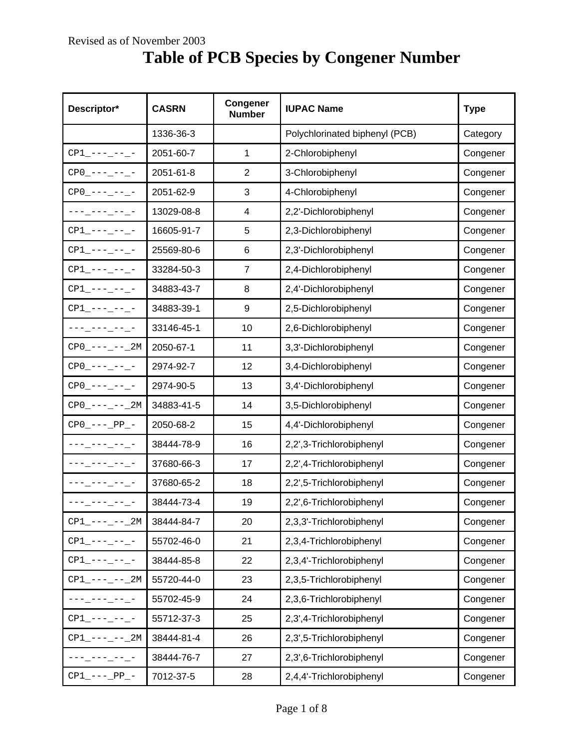## **Table of PCB Species by Congener Number**

| Descriptor*                               | <b>CASRN</b> | <b>Congener</b><br><b>Number</b> | <b>IUPAC Name</b>              | <b>Type</b> |
|-------------------------------------------|--------------|----------------------------------|--------------------------------|-------------|
|                                           | 1336-36-3    |                                  | Polychlorinated biphenyl (PCB) | Category    |
| $CP1$ <sub>-</sub> ---_--_-               | 2051-60-7    | 1                                | 2-Chlorobiphenyl               | Congener    |
| $CP0$ --------                            | 2051-61-8    | $\overline{2}$                   | 3-Chlorobiphenyl               | Congener    |
| $CP0$ -------                             | 2051-62-9    | 3                                | 4-Chlorobiphenyl               | Congener    |
| ---_---_--_-                              | 13029-08-8   | 4                                | 2,2'-Dichlorobiphenyl          | Congener    |
| $CP1$ <sup>----</sup> --- <sup>-</sup>    | 16605-91-7   | 5                                | 2,3-Dichlorobiphenyl           | Congener    |
| $CP1$ <sub>-</sub> ---_--_-               | 25569-80-6   | 6                                | 2,3'-Dichlorobiphenyl          | Congener    |
| $CP1$ <sub>-</sub> ---_--_-               | 33284-50-3   | $\overline{7}$                   | 2,4-Dichlorobiphenyl           | Congener    |
| $CP1$ <sup>-------</sup>                  | 34883-43-7   | 8                                | 2,4'-Dichlorobiphenyl          | Congener    |
| $CP1$ <sub>-</sub> ---_--_-               | 34883-39-1   | 9                                | 2,5-Dichlorobiphenyl           | Congener    |
| ---_---_--_-                              | 33146-45-1   | 10                               | 2,6-Dichlorobiphenyl           | Congener    |
| $CP0$ <sup>----</sup> -- <sup>-</sup> 2M  | 2050-67-1    | 11                               | 3,3'-Dichlorobiphenyl          | Congener    |
| $CP0$ --------                            | 2974-92-7    | 12                               | 3,4-Dichlorobiphenyl           | Congener    |
| $CP0$ --------                            | 2974-90-5    | 13                               | 3,4'-Dichlorobiphenyl          | Congener    |
| $CP0$ <sup>----</sup> -- <sup>-</sup> 2M  | 34883-41-5   | 14                               | 3,5-Dichlorobiphenyl           | Congener    |
| $CP0$ ---- PP --                          | 2050-68-2    | 15                               | 4,4'-Dichlorobiphenyl          | Congener    |
| AAA_AAA_AA_A                              | 38444-78-9   | 16                               | 2,2',3-Trichlorobiphenyl       | Congener    |
| --- --- -- -                              | 37680-66-3   | 17                               | 2,2',4-Trichlorobiphenyl       | Congener    |
|                                           | 37680-65-2   | 18                               | 2,2',5-Trichlorobiphenyl       | Congener    |
| --- --- -- -                              | 38444-73-4   | 19                               | 2,2',6-Trichlorobiphenyl       | Congener    |
| $CP1$ <sup>----</sup> -- <sup>-</sup> -2M | 38444-84-7   | 20                               | 2,3,3'-Trichlorobiphenyl       | Congener    |
| $CP1$ <sup>----</sup> --- <sup>-</sup>    | 55702-46-0   | 21                               | 2,3,4-Trichlorobiphenyl        | Congener    |
| $CP1$ <sub>-</sub> ---_--_-               | 38444-85-8   | 22                               | 2,3,4'-Trichlorobiphenyl       | Congener    |
| $CP1$ <sup>---</sup> --- <sup>1</sup>     | 55720-44-0   | 23                               | 2,3,5-Trichlorobiphenyl        | Congener    |
| ⋍⋍⋍∟⋍⋍⋍∟⋍⋍∟⋍                              | 55702-45-9   | 24                               | 2,3,6-Trichlorobiphenyl        | Congener    |
| $CP1$ <sup>---</sup> --- <sup>-</sup>     | 55712-37-3   | 25                               | 2,3',4-Trichlorobiphenyl       | Congener    |
| $CPI$ --- -- 2M                           | 38444-81-4   | 26                               | 2,3',5-Trichlorobiphenyl       | Congener    |
| °°°°°°°°°°                                | 38444-76-7   | 27                               | 2,3',6-Trichlorobiphenyl       | Congener    |
| $CP1$ --- PP -                            | 7012-37-5    | 28                               | 2,4,4'-Trichlorobiphenyl       | Congener    |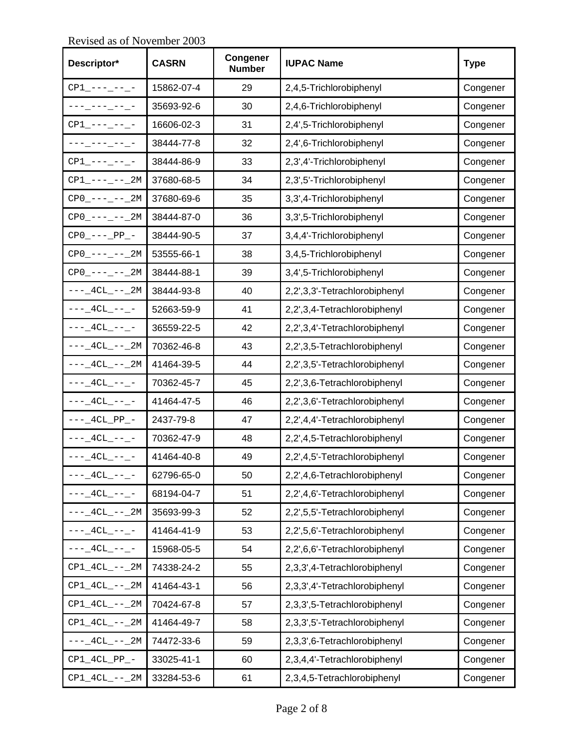**Descriptor\* CASRN Congener CONGITY IUPAC Name** Type CP1\_---\_--\_- 15862-07-4 29 2,4,5-Trichlorobiphenyl Congener ---<sub>-</sub>---<sub>-</sub>--<sub>-</sub>-- 35693-92-6 30 2,4,6-Trichlorobiphenyl congener CP1\_---\_--\_- 16606-02-3 31 2,4',5-Trichlorobiphenyl Congener ---<sub>-</sub>---<sub>-</sub>--<sub>-</sub> 38444-77-8 32 2,4',6-Trichlorobiphenyl Congener CP1\_---\_--\_- 38444-86-9 33 2,3',4'-Trichlorobiphenyl Congener CP1\_---\_--\_2M 37680-68-5 34 2,3',5'-Trichlorobiphenyl Congener  $CP0$ <sub>-----</sub>--\_2M 37680-69-6 35 3,3',4-Trichlorobiphenyl Congener CP0\_---\_--\_2M 38444-87-0 36 3,3',5-Trichlorobiphenyl Congener CP0\_---\_PP\_- 38444-90-5 37 3,4,4'-Trichlorobiphenyl Congener CP0\_---\_--\_2M 53555-66-1 38 3,4,5-Trichlorobiphenyl Congener CP0\_---\_--\_2M 38444-88-1 39 3,4',5-Trichlorobiphenyl Congener  $---_4CL_--_2M$  38444-93-8 40 2,2',3,3'-Tetrachlorobiphenyl Congener  $---_4CL_---$  52663-59-9 41 2,2',3,4-Tetrachlorobiphenyl Congener  $---_4CL_---$  36559-22-5 42 2,2',3,4'-Tetrachlorobiphenyl Congener  $---_4CL_--_2M$  70362-46-8 43 2,2',3,5-Tetrachlorobiphenyl Congener ---\_4CL\_--\_2M 41464-39-5 44 2,2',3,5'-Tetrachlorobiphenyl Congener ---\_4CL\_--\_- 70362-45-7 45 2,2',3,6-Tetrachlorobiphenyl Congener  $---_4CL_---$  41464-47-5 46 2,2',3,6'-Tetrachlorobiphenyl Congener ---\_4CL\_PP\_- 2437-79-8 47 2,2',4,4'-Tetrachlorobiphenyl Congener  $---_4CL_---$  70362-47-9 48 2,2',4,5-Tetrachlorobiphenyl Congener  $---_4CL_--_$  41464-40-8 49 2,2',4,5'-Tetrachlorobiphenyl Congener  $---_4CL_---$  62796-65-0 50 2,2',4,6-Tetrachlorobiphenyl Congener ---\_4CL\_--\_- 68194-04-7 | 51 2,2',4,6'-Tetrachlorobiphenyl | Congener  $---_4CL_---_2M$  35693-99-3  $\vert$  52  $\vert$  2,2',5,5'-Tetrachlorobiphenyl Congener ---\_4CL\_--\_- | 41464-41-9 | 53 | 2,2',5,6'-Tetrachlorobiphenyl | Congener  $---_4CL_---$  15968-05-5 54 2,2',6,6'-Tetrachlorobiphenyl Congener  $CP1\_4CL\_--\_2M$  74338-24-2  $\qquad$  55  $\qquad$  2,3,3',4-Tetrachlorobiphenyl Congener CP1\_4CL\_--\_2M 41464-43-1 56 2,3,3',4'-Tetrachlorobiphenyl Congener CP1\_4CL\_--\_2M 70424-67-8 57 2,3,3',5-Tetrachlorobiphenyl Congener CP1\_4CL\_--\_2M 41464-49-7 58 2,3,3',5'-Tetrachlorobiphenyl Congener  $---_4CL_--_2M$  74472-33-6  $\vert$  59  $\vert$  2,3,3',6-Tetrachlorobiphenyl  $\vert$  Congener CP1\_4CL\_PP\_- 33025-41-1 60 2,3,4,4'-Tetrachlorobiphenyl Congener  $\text{CPI\_4CL\_--\_2M}$  33284-53-6 61 2,3,4,5-Tetrachlorobiphenyl congener

Revised as of November 2003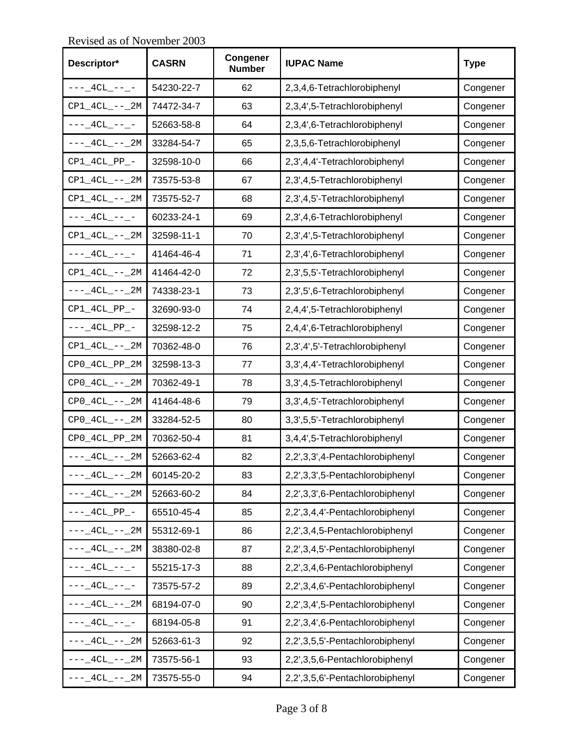**Descriptor\* CASRN Congener CONGITY IUPAC Name** Type ---\_4CL\_--\_- 54230-22-7 62 2,3,4,6-Tetrachlorobiphenyl Congener CP1\_4CL\_--\_2M 74472-34-7 63 2,3,4',5-Tetrachlorobiphenyl Congener ---\_4CL\_--\_- 52663-58-8 | 64 | 2,3,4',6-Tetrachlorobiphenyl | Congener  $---_4CL_---_2M$  33284-54-7 65 2,3,5,6-Tetrachlorobiphenyl Congener CP1\_4CL\_PP\_- 32598-10-0 66 2,3',4,4'-Tetrachlorobiphenyl Congener  $CP1_4CL_--2M$  73575-53-8 67 2,3',4,5-Tetrachlorobiphenyl Congener CP1\_4CL\_--\_2M 73575-52-7 68 2,3',4,5'-Tetrachlorobiphenyl Congener  $---_4CL_---$  60233-24-1 69 2,3',4,6-Tetrachlorobiphenyl Congener CP1\_4CL\_--\_2M 32598-11-1 70 2,3',4',5-Tetrachlorobiphenyl Congener ---\_4CL\_--\_- 41464-46-4 71 2,3',4',6-Tetrachlorobiphenyl Congener CP1\_4CL\_--\_2M 41464-42-0 72 2,3',5,5'-Tetrachlorobiphenyl Congener  $---_4CL_--_2M$  74338-23-1 73 2,3',5',6-Tetrachlorobiphenyl Congener CP1\_4CL\_PP\_- 32690-93-0 74 2,4,4',5-Tetrachlorobiphenyl Congener  $---_4CL_PP_$ - 32598-12-2 75 2,4,4',6-Tetrachlorobiphenyl Congener CP1\_4CL\_--\_2M 70362-48-0 76 2,3',4',5'-Tetrachlorobiphenyl Congener CP0\_4CL\_PP\_2M 32598-13-3 77 3,3',4,4'-Tetrachlorobiphenyl Congener CP0\_4CL\_--\_2M 70362-49-1 78 3,3',4,5-Tetrachlorobiphenyl Congener CP0\_4CL\_--\_2M 41464-48-6 79 3,3',4,5'-Tetrachlorobiphenyl Congener  $CP0_4CL_--2M$  33284-52-5 80 3,3',5,5'-Tetrachlorobiphenyl Congener CP0\_4CL\_PP\_2M 70362-50-4 81 3,4,4',5-Tetrachlorobiphenyl Congener  $---_4CL_--_2M$  52663-62-4 82 2,2',3,3',4-Pentachlorobiphenyl Congener  $---_4CL_--_2M$  60145-20-2 83 2,2',3,3',5-Pentachlorobiphenyl Congener  $---_4CL_---_2M$  52663-60-2 84 2,2',3,3',6-Pentachlorobiphenyl Congener ---\_4CL\_PP\_- 65510-45-4 85 2,2',3,4,4'-Pentachlorobiphenyl Congener  $---_4CL_--_2M$  55312-69-1 86 2,2',3,4,5-Pentachlorobiphenyl Congener  $---_4CL_--_2M$  38380-02-8 87 2,2',3,4,5'-Pentachlorobiphenyl Congener  $---_4CL_---$  55215-17-3 88 2,2',3,4,6-Pentachlorobiphenyl Congener  $---_4CL_---$  73575-57-2 89 2,2',3,4,6'-Pentachlorobiphenyl Congener ---\_4CL\_--\_2M 68194-07-0 | 90 2,2',3,4',5-Pentachlorobiphenyl | Congener ---\_4CL\_--\_- 68194-05-8 91 2,2',3,4',6-Pentachlorobiphenyl Congener ---\_4CL\_--\_2M 52663-61-3 | 92 2,2',3,5,5'-Pentachlorobiphenyl | Congener  $---_4CL_---_2M$  73575-56-1 93 2,2',3,5,6-Pentachlorobiphenyl Congener  $---_4CL_---_2M$  73575-55-0 94 2,2',3,5,6'-Pentachlorobiphenyl Congener

Revised as of November 2003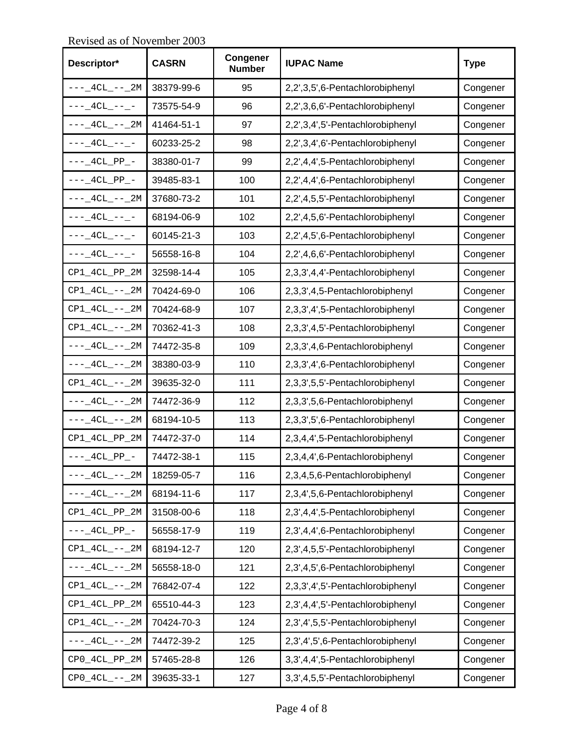**Descriptor\* CASRN Congener CONGITY IUPAC Name** Type  $---_4CL_---_2M$  38379-99-6 95 2,2',3,5',6-Pentachlorobiphenyl Congener  $---_4CL_---$  73575-54-9 96 2,2',3,6,6'-Pentachlorobiphenyl Congener  $---_4CL_--_2M$  41464-51-1 97 2,2',3,4',5'-Pentachlorobiphenyl Congener ---\_4CL\_--\_- 60233-25-2 98 2,2',3,4',6'-Pentachlorobiphenyl Congener  $---_4CL_PP_$  | 38380-01-7 | 99 | 2,2',4,4',5-Pentachlorobiphenyl | Congener ---\_4CL\_PP\_- 39485-83-1 100 2,2',4,4',6-Pentachlorobiphenyl Congener  $---_4CL_---_2M$  37680-73-2 101 2,2',4,5,5'-Pentachlorobiphenyl Congener ---\_4CL\_--\_- 68194-06-9 102 2,2',4,5,6'-Pentachlorobiphenyl Congener  $---_4CL_---$  60145-21-3 103 2,2',4,5',6-Pentachlorobiphenyl Congener ---\_4CL\_--\_- 56558-16-8 | 104 | 2,2',4,6,6'-Pentachlorobiphenyl | Congener CP1\_4CL\_PP\_2M 32598-14-4 105 2,3,3',4,4'-Pentachlorobiphenyl Congener CP1\_4CL\_--\_2M 70424-69-0 106 2,3,3',4,5-Pentachlorobiphenyl Congener CP1\_4CL\_--\_2M 70424-68-9 107 2,3,3',4',5-Pentachlorobiphenyl Congener CP1\_4CL\_--\_2M 70362-41-3 108 2,3,3',4,5'-Pentachlorobiphenyl Congener  $---_4CL_--_2M$  74472-35-8 109 2,3,3',4,6-Pentachlorobiphenyl Congener  $---_4CL_--_2M$  38380-03-9 110 2,3,3',4',6-Pentachlorobiphenyl Congener CP1\_4CL\_--\_2M 39635-32-0 111 2,3,3',5,5'-Pentachlorobiphenyl Congener  $---_4CL_--_2M$  74472-36-9 112 2,3,3',5,6-Pentachlorobiphenyl Congener  $---_4CL_--_2M$  68194-10-5 113 2,3,3',5',6-Pentachlorobiphenyl Congener CP1\_4CL\_PP\_2M 74472-37-0 114 2,3,4,4',5-Pentachlorobiphenyl Congener ---\_4CL\_PP\_- 74472-38-1 115 2,3,4,4',6-Pentachlorobiphenyl Congener  $---_4CL_--_2M$  18259-05-7 | 116 | 2,3,4,5,6-Pentachlorobiphenyl | Congener  $---_4CL_---_2M$  68194-11-6 117 2,3,4',5,6-Pentachlorobiphenyl Congener CP1\_4CL\_PP\_2M 31508-00-6 118 2,3',4,4',5-Pentachlorobiphenyl Congener  $---_4CL_PP_$   $-$  56558-17-9 119 2,3',4,4',6-Pentachlorobiphenyl Congener CP1\_4CL\_--\_2M 68194-12-7 120 2,3',4,5,5'-Pentachlorobiphenyl Congener  $---_4CL_--_2M$  56558-18-0 121 2,3',4,5',6-Pentachlorobiphenyl Congener CP1\_4CL\_--\_2M 76842-07-4 122 2,3,3',4',5'-Pentachlorobiphenyl Congener CP1\_4CL\_PP\_2M 65510-44-3 123 2,3',4,4',5'-Pentachlorobiphenyl Congener CP1\_4CL\_--\_2M 70424-70-3 124 2,3',4',5,5'-Pentachlorobiphenyl Congener  $---_4CL_--_2M$  74472-39-2 125 2,3',4',5',6-Pentachlorobiphenyl Congener CP0\_4CL\_PP\_2M 57465-28-8 126 3,3',4,4',5-Pentachlorobiphenyl Congener CP0\_4CL\_--\_2M 39635-33-1 127 3,3',4,5,5'-Pentachlorobiphenyl Congener

Revised as of November 2003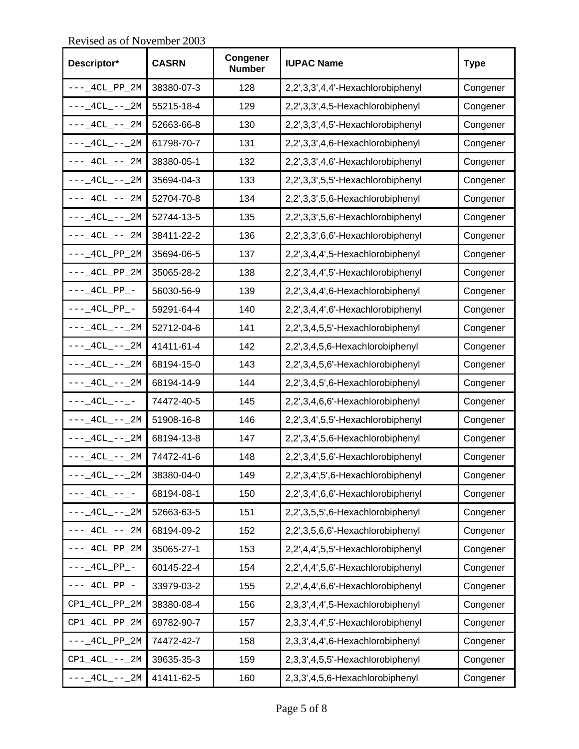**Descriptor\* CASRN Congener CONGITY IUPAC Name** Type  $---_4CL_PP_2M$  38380-07-3 | 128 2,2',3,3',4,4'-Hexachlorobiphenyl Congener  $---_4CL_---_2M$  55215-18-4 129 2,2',3,3',4,5-Hexachlorobiphenyl Congener  $---_4CL_--_2M$  52663-66-8 130 2,2',3,3',4,5'-Hexachlorobiphenyl Congener  $---_4CL_---_2M$  61798-70-7 131 2,2',3,3',4,6-Hexachlorobiphenyl Congener  $---_4CL_--_2M$  38380-05-1 132 2,2',3,3',4,6'-Hexachlorobiphenyl Congener  $---_4CL_--_2M$  35694-04-3 133 2,2',3,3',5,5'-Hexachlorobiphenyl Congener  $---_4CL_--_2M$  52704-70-8 134 2,2',3,3',5,6-Hexachlorobiphenyl Congener  $---_4CL_---_2M$  52744-13-5 135 2,2',3,3',5,6'-Hexachlorobiphenyl Congener  $---_4CL_--_2M$  38411-22-2 136 2,2',3,3',6,6'-Hexachlorobiphenyl Congener  $---_4CL\_PP\_2M$  35694-06-5 137 2,2',3,4,4',5-Hexachlorobiphenyl Congener ---\_4CL\_PP\_2M 35065-28-2 138 2,2',3,4,4',5'-Hexachlorobiphenyl Congener  $---_4CL_PP_ -$  56030-56-9 139 2,2',3,4,4',6-Hexachlorobiphenyl Congener  $---_4CL_PP_$  | 59291-64-4 | 140 | 2,2',3,4,4',6'-Hexachlorobiphenyl | Congener  $---_4CL_--_2M$  52712-04-6 141 2,2',3,4,5,5'-Hexachlorobiphenyl Congener  $---_4CL_--_2M$  41411-61-4 142 2,2',3,4,5,6-Hexachlorobiphenyl Congener  $---_4CL_--_2M$  68194-15-0 143 2,2',3,4,5,6'-Hexachlorobiphenyl Congener  $---_4CL_---_2M$  68194-14-9  $\begin{vmatrix} 1 & 1 & 2,2',3,4,5',6-Hexachlorobiphenyl \end{vmatrix}$  Congener  $---_4CL_---$  74472-40-5 145 2,2',3,4,6,6'-Hexachlorobiphenyl Congener  $---_4CL_---_2M$  51908-16-8 146 2,2',3,4',5,5'-Hexachlorobiphenyl Congener  $---_4CL_--_2M$  68194-13-8 147 2,2',3,4',5,6-Hexachlorobiphenyl Congener  $---_4CL_---_2M$  74472-41-6 148 2,2',3,4',5,6'-Hexachlorobiphenyl Congener  $---_4CL_---_2M$  38380-04-0 149 2,2',3,4',5',6-Hexachlorobiphenyl Congener ---\_4CL\_--\_- 68194-08-1 | 150 | 2,2',3,4',6,6'-Hexachlorobiphenyl | Congener  $---_4CL_---_2M$  52663-63-5 | 151 2,2',3,5,5',6-Hexachlorobiphenyl Congener  $---_4CL_--_2M$  68194-09-2 152 2,2',3,5,6,6'-Hexachlorobiphenyl Congener  $---_4CL\_PP\_2M$  35065-27-1 153 2,2',4,4',5,5'-Hexachlorobiphenyl Congener  $---_4CL_PP_$  60145-22-4 154 2,2',4,4',5,6'-Hexachlorobiphenyl Congener ---\_4CL\_PP\_- 33979-03-2 155 2,2',4,4',6,6'-Hexachlorobiphenyl Congener  $CP1\_4CL\_PP\_2M$  38380-08-4 156 2,3,3',4,4',5-Hexachlorobiphenyl Congener CP1\_4CL\_PP\_2M 69782-90-7 157 2,3,3',4,4',5'-Hexachlorobiphenyl Congener  $---_4CL_PP_2M$  74472-42-7 158 2,3,3',4,4',6-Hexachlorobiphenyl Congener CP1\_4CL\_--\_2M 39635-35-3 159 2,3,3',4,5,5'-Hexachlorobiphenyl Congener  $---_4CL_--_2M$  41411-62-5 160 2,3,3',4,5,6-Hexachlorobiphenyl Congener

Revised as of November 2003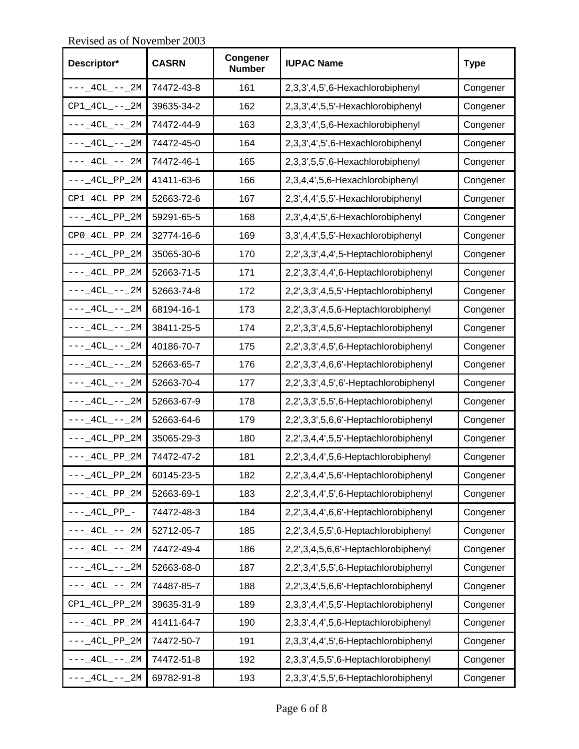**Descriptor\* CASRN Congener CONSIDER IUPAC Name** Type  $---_4CL_--_2M$  74472-43-8 161 2,3,3',4,5',6-Hexachlorobiphenyl Congener CP1\_4CL\_--\_2M 39635-34-2 162 2,3,3',4',5,5'-Hexachlorobiphenyl Congener  $---_4CL_--_2M$  74472-44-9 163 2,3,3',4',5,6-Hexachlorobiphenyl Congener  $---_4CL_---_2M$  74472-45-0 164 2,3,3',4',5',6-Hexachlorobiphenyl Congener  $---_4CL_--_2M$  74472-46-1 165 2,3,3',5,5',6-Hexachlorobiphenyl Congener  $---_4CL\_PP\_2M$  41411-63-6 166 2,3,4,4',5,6-Hexachlorobiphenyl Congener CP1\_4CL\_PP\_2M 52663-72-6 167 2,3',4,4',5,5'-Hexachlorobiphenyl Congener  $---_4CL\_PP\_2M$  59291-65-5 168 2,3',4,4',5',6-Hexachlorobiphenyl Congener  $CP0_4CL_PP_2M$  32774-16-6 169 3,3',4,4',5,5'-Hexachlorobiphenyl Congener  $---_4CL_PP_2M$  35065-30-6 170 2,2',3,3',4,4',5-Heptachlorobiphenyl Congener  $---_4$ CL\_PP\_2M 52663-71-5 | 171 2,2',3,3',4,4',6-Heptachlorobiphenyl Congener  $---_4CL_--_2M$  52663-74-8 | 172 | 2,2',3,3',4,5,5'-Heptachlorobiphenyl Congener  $---_4CL_--_2M$  68194-16-1 173 2,2',3,3',4,5,6-Heptachlorobiphenyl Congener  $---_4CL_--_2M$  38411-25-5 | 174 2,2',3,3',4,5,6'-Heptachlorobiphenyl Congener  $---_4CL_--_2M$  40186-70-7 | 175 | 2,2',3,3',4,5',6-Heptachlorobiphenyl | Congener ---\_4CL\_--\_2M 52663-65-7 176 2,2',3,3',4,6,6'-Heptachlorobiphenyl Congener ---\_4CL\_--\_2M 52663-70-4 177 2,2',3,3',4,5',6'-Heptachlorobiphenyl Congener  $---_4CL_---_2M$  52663-67-9 178 2,2',3,3',5,5',6-Heptachlorobiphenyl Congener  $---_4CL_--_2M$  52663-64-6 179 2,2',3,3',5,6,6'-Heptachlorobiphenyl Congener  $---_4CL_PP_2M$  35065-29-3 180 2,2',3,4,4',5,5'-Heptachlorobiphenyl Congener ---\_4CL\_PP\_2M 74472-47-2 181 2,2',3,4,4',5,6-Heptachlorobiphenyl Congener  $---_4CL_PP_2M$  60145-23-5 182 2,2',3,4,4',5,6'-Heptachlorobiphenyl Congener  $---_4CL_PP_2M$  52663-69-1 183 2,2',3,4,4',5',6-Heptachlorobiphenyl Congener ---\_4CL\_PP\_- 74472-48-3 184 2,2',3,4,4',6,6'-Heptachlorobiphenyl Congener  $---_4CL_--_2M$  52712-05-7 185 2,2',3,4,5,5',6-Heptachlorobiphenyl Congener  $---_4CL_--_2M$  74472-49-4 186 2,2',3,4,5,6,6'-Heptachlorobiphenyl Congener  $---_4CL_---_2M$  52663-68-0 187 2,2',3,4',5,5',6-Heptachlorobiphenyl Congener  $---_4CL_--_2M$  74487-85-7 | 188 | 2,2',3,4',5,6,6'-Heptachlorobiphenyl | Congener CP1\_4CL\_PP\_2M 39635-31-9 189 2,3,3',4,4',5,5'-Heptachlorobiphenyl Congener  $---_4CL_PP_2M$  41411-64-7 | 190  $2,3,3',4,4',5,6$ -Heptachlorobiphenyl Congener  $---_4CL\_PP\_2M$  74472-50-7 191 2,3,3',4,4',5',6-Heptachlorobiphenyl Congener  $---_4CL_--_2M$  74472-51-8 192 2,3,3',4,5,5',6-Heptachlorobiphenyl Congener  $---_4CL_---_2M$  69782-91-8 193 2,3,3',4',5,5',6-Heptachlorobiphenyl Congener

Revised as of November 2003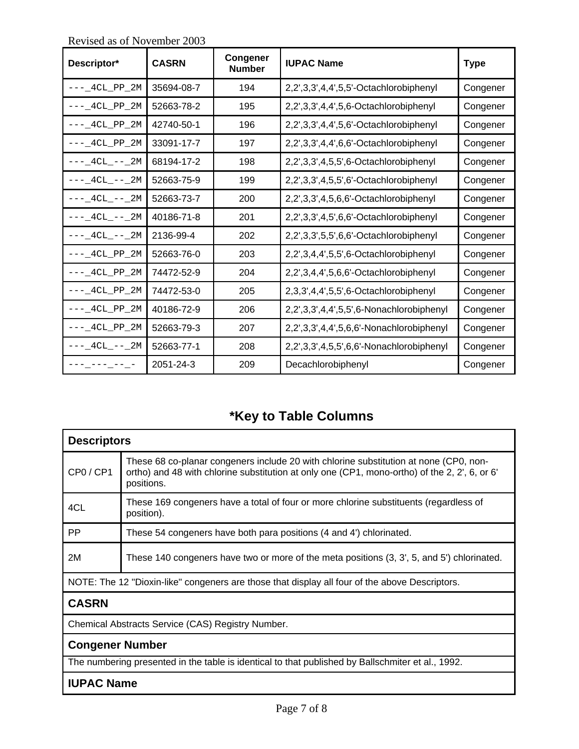| Descriptor*        | <b>CASRN</b> | Congener<br><b>Number</b> | <b>IUPAC Name</b>                        | <b>Type</b> |
|--------------------|--------------|---------------------------|------------------------------------------|-------------|
| ---_4CL_PP_2M      | 35694-08-7   | 194                       | 2,2',3,3',4,4',5,5'-Octachlorobiphenyl   | Congener    |
| $--- 4CL_PP_2M$    | 52663-78-2   | 195                       | 2,2',3,3',4,4',5,6-Octachlorobiphenyl    | Congener    |
| $--- 4CL_PP_2M$    | 42740-50-1   | 196                       | 2,2',3,3',4,4',5,6'-Octachlorobiphenyl   | Congener    |
| $---$ 4CL PP 2M    | 33091-17-7   | 197                       | 2,2',3,3',4,4',6,6'-Octachlorobiphenyl   | Congener    |
| $---4CL$ $---2M$   | 68194-17-2   | 198                       | 2,2',3,3',4,5,5',6-Octachlorobiphenyl    | Congener    |
| ---_4CL_--_2M      | 52663-75-9   | 199                       | 2,2',3,3',4,5,5',6'-Octachlorobiphenyl   | Congener    |
| $---4CL$ $---2M$   | 52663-73-7   | 200                       | 2,2',3,3',4,5,6,6'-Octachlorobiphenyl    | Congener    |
| $---4CL$ $---2M$   | 40186-71-8   | 201                       | 2,2',3,3',4,5',6,6'-Octachlorobiphenyl   | Congener    |
| $---$ 4CL $---$ 2M | 2136-99-4    | 202                       | 2,2',3,3',5,5',6,6'-Octachlorobiphenyl   | Congener    |
| $---$ 4CL PP 2M    | 52663-76-0   | 203                       | 2,2',3,4,4',5,5',6-Octachlorobiphenyl    | Congener    |
| $--- 4CL_PP_2M$    | 74472-52-9   | 204                       | 2,2',3,4,4',5,6,6'-Octachlorobiphenyl    | Congener    |
| $--- 4CL_PP_2M$    | 74472-53-0   | 205                       | 2,3,3',4,4',5,5',6-Octachlorobiphenyl    | Congener    |
| $--- 4CL_PP_2M$    | 40186-72-9   | 206                       | 2,2',3,3',4,4',5,5',6-Nonachlorobiphenyl | Congener    |
| $---$ 4CL PP 2M    | 52663-79-3   | 207                       | 2,2',3,3',4,4',5,6,6'-Nonachlorobiphenyl | Congener    |
| ---_4CL_--_2M      | 52663-77-1   | 208                       | 2,2',3,3',4,5,5',6,6'-Nonachlorobiphenyl | Congener    |
|                    | 2051-24-3    | 209                       | Decachlorobiphenyl                       | Congener    |

Revised as of November 2003

## **\*Key to Table Columns**

| <b>Descriptors</b>                                                                                |                                                                                                                                                                                                      |  |  |  |
|---------------------------------------------------------------------------------------------------|------------------------------------------------------------------------------------------------------------------------------------------------------------------------------------------------------|--|--|--|
| CP0/CP1                                                                                           | These 68 co-planar congeners include 20 with chlorine substitution at none (CP0, non-<br>ortho) and 48 with chlorine substitution at only one (CP1, mono-ortho) of the 2, 2', 6, or 6'<br>positions. |  |  |  |
| 4CL                                                                                               | These 169 congeners have a total of four or more chlorine substituents (regardless of<br>position).                                                                                                  |  |  |  |
| PP.                                                                                               | These 54 congeners have both para positions (4 and 4') chlorinated.                                                                                                                                  |  |  |  |
| 2M                                                                                                | These 140 congeners have two or more of the meta positions (3, 3', 5, and 5') chlorinated.                                                                                                           |  |  |  |
| NOTE: The 12 "Dioxin-like" congeners are those that display all four of the above Descriptors.    |                                                                                                                                                                                                      |  |  |  |
| <b>CASRN</b>                                                                                      |                                                                                                                                                                                                      |  |  |  |
| Chemical Abstracts Service (CAS) Registry Number.                                                 |                                                                                                                                                                                                      |  |  |  |
| <b>Congener Number</b>                                                                            |                                                                                                                                                                                                      |  |  |  |
| The numbering presented in the table is identical to that published by Ballschmiter et al., 1992. |                                                                                                                                                                                                      |  |  |  |

## **IUPAC Name**